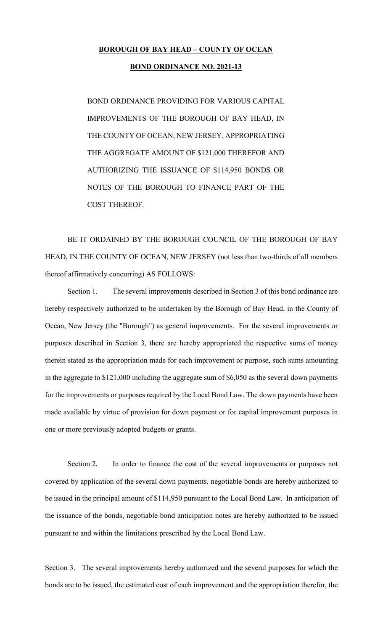## **BOROUGH OF BAY HEAD – COUNTY OF OCEAN**

## **BOND ORDINANCE NO. 2021-13**

BOND ORDINANCE PROVIDING FOR VARIOUS CAPITAL IMPROVEMENTS OF THE BOROUGH OF BAY HEAD, IN THE COUNTY OF OCEAN, NEW JERSEY, APPROPRIATING THE AGGREGATE AMOUNT OF \$121,000 THEREFOR AND AUTHORIZING THE ISSUANCE OF \$114,950 BONDS OR NOTES OF THE BOROUGH TO FINANCE PART OF THE COST THEREOF.

 BE IT ORDAINED BY THE BOROUGH COUNCIL OF THE BOROUGH OF BAY HEAD, IN THE COUNTY OF OCEAN, NEW JERSEY (not less than two-thirds of all members thereof affirmatively concurring) AS FOLLOWS:

 Section 1. The several improvements described in Section 3 of this bond ordinance are hereby respectively authorized to be undertaken by the Borough of Bay Head, in the County of Ocean, New Jersey (the "Borough") as general improvements. For the several improvements or purposes described in Section 3, there are hereby appropriated the respective sums of money therein stated as the appropriation made for each improvement or purpose, such sums amounting in the aggregate to \$121,000 including the aggregate sum of \$6,050 as the several down payments for the improvements or purposes required by the Local Bond Law. The down payments have been made available by virtue of provision for down payment or for capital improvement purposes in one or more previously adopted budgets or grants.

Section 2. In order to finance the cost of the several improvements or purposes not covered by application of the several down payments, negotiable bonds are hereby authorized to be issued in the principal amount of \$114,950 pursuant to the Local Bond Law. In anticipation of the issuance of the bonds, negotiable bond anticipation notes are hereby authorized to be issued pursuant to and within the limitations prescribed by the Local Bond Law.

Section 3. The several improvements hereby authorized and the several purposes for which the bonds are to be issued, the estimated cost of each improvement and the appropriation therefor, the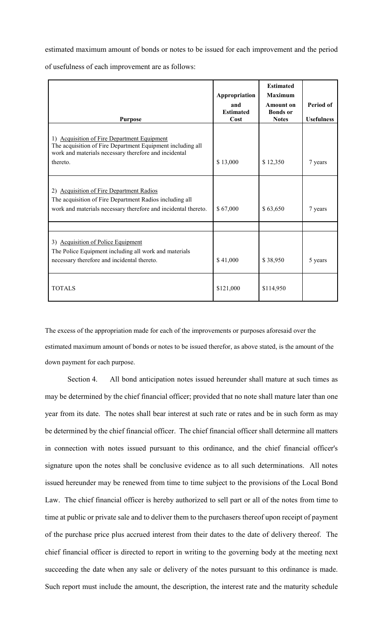estimated maximum amount of bonds or notes to be issued for each improvement and the period

of usefulness of each improvement are as follows:

| <b>Purpose</b>                                                                                                                                                                 | Appropriation<br>and<br><b>Estimated</b><br>Cost | <b>Estimated</b><br><b>Maximum</b><br>Amount on<br><b>Bonds</b> or<br><b>Notes</b> | Period of<br><b>Usefulness</b> |
|--------------------------------------------------------------------------------------------------------------------------------------------------------------------------------|--------------------------------------------------|------------------------------------------------------------------------------------|--------------------------------|
| 1) Acquisition of Fire Department Equipment<br>The acquisition of Fire Department Equipment including all<br>work and materials necessary therefore and incidental<br>thereto. | \$13,000                                         | \$12,350                                                                           | 7 years                        |
| 2) Acquisition of Fire Department Radios<br>The acquisition of Fire Department Radios including all<br>work and materials necessary therefore and incidental thereto.          | \$67,000                                         | \$63,650                                                                           | 7 years                        |
| 3) Acquisition of Police Equipment<br>The Police Equipment including all work and materials<br>necessary therefore and incidental thereto.                                     | \$41,000                                         | \$38,950                                                                           | 5 years                        |
| <b>TOTALS</b>                                                                                                                                                                  | \$121,000                                        | \$114,950                                                                          |                                |

The excess of the appropriation made for each of the improvements or purposes aforesaid over the estimated maximum amount of bonds or notes to be issued therefor, as above stated, is the amount of the down payment for each purpose.

 Section 4. All bond anticipation notes issued hereunder shall mature at such times as may be determined by the chief financial officer; provided that no note shall mature later than one year from its date. The notes shall bear interest at such rate or rates and be in such form as may be determined by the chief financial officer. The chief financial officer shall determine all matters in connection with notes issued pursuant to this ordinance, and the chief financial officer's signature upon the notes shall be conclusive evidence as to all such determinations. All notes issued hereunder may be renewed from time to time subject to the provisions of the Local Bond Law. The chief financial officer is hereby authorized to sell part or all of the notes from time to time at public or private sale and to deliver them to the purchasers thereof upon receipt of payment of the purchase price plus accrued interest from their dates to the date of delivery thereof. The chief financial officer is directed to report in writing to the governing body at the meeting next succeeding the date when any sale or delivery of the notes pursuant to this ordinance is made. Such report must include the amount, the description, the interest rate and the maturity schedule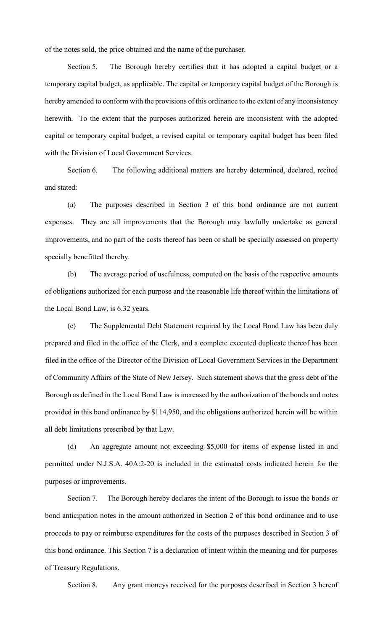of the notes sold, the price obtained and the name of the purchaser.

 Section 5. The Borough hereby certifies that it has adopted a capital budget or a temporary capital budget, as applicable. The capital or temporary capital budget of the Borough is hereby amended to conform with the provisions of this ordinance to the extent of any inconsistency herewith. To the extent that the purposes authorized herein are inconsistent with the adopted capital or temporary capital budget, a revised capital or temporary capital budget has been filed with the Division of Local Government Services.

 Section 6. The following additional matters are hereby determined, declared, recited and stated:

 (a) The purposes described in Section 3 of this bond ordinance are not current expenses. They are all improvements that the Borough may lawfully undertake as general improvements, and no part of the costs thereof has been or shall be specially assessed on property specially benefitted thereby.

 (b) The average period of usefulness, computed on the basis of the respective amounts of obligations authorized for each purpose and the reasonable life thereof within the limitations of the Local Bond Law, is 6.32 years.

(c) The Supplemental Debt Statement required by the Local Bond Law has been duly prepared and filed in the office of the Clerk, and a complete executed duplicate thereof has been filed in the office of the Director of the Division of Local Government Services in the Department of Community Affairs of the State of New Jersey. Such statement shows that the gross debt of the Borough as defined in the Local Bond Law is increased by the authorization of the bonds and notes provided in this bond ordinance by \$114,950, and the obligations authorized herein will be within all debt limitations prescribed by that Law.

(d) An aggregate amount not exceeding \$5,000 for items of expense listed in and permitted under N.J.S.A. 40A:2-20 is included in the estimated costs indicated herein for the purposes or improvements.

 Section 7. The Borough hereby declares the intent of the Borough to issue the bonds or bond anticipation notes in the amount authorized in Section 2 of this bond ordinance and to use proceeds to pay or reimburse expenditures for the costs of the purposes described in Section 3 of this bond ordinance. This Section 7 is a declaration of intent within the meaning and for purposes of Treasury Regulations.

Section 8. Any grant moneys received for the purposes described in Section 3 hereof